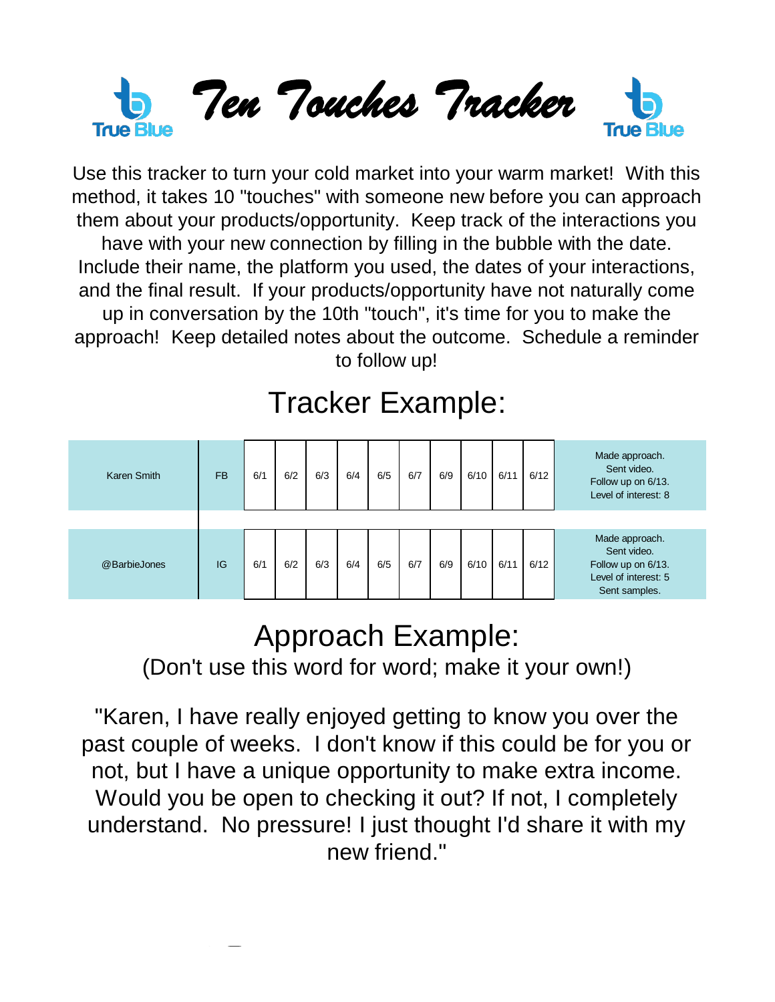

Use this tracker to turn your cold market into your warm market! With this method, it takes 10 "touches" with someone new before you can approach them about your products/opportunity. Keep track of the interactions you have with your new connection by filling in the bubble with the date. Include their name, the platform you used, the dates of your interactions, and the final result. If your products/opportunity have not naturally come up in conversation by the 10th "touch", it's time for you to make the approach! Keep detailed notes about the outcome. Schedule a reminder to follow up!

## Tracker Example:

| Karen Smith  | <b>FB</b> | 6/1 | 6/2 | 6/3 | 6/4 | 6/5 | 6/7 | 6/9 | 6/10 | 6/11 | 6/12 | Made approach.<br>Sent video.<br>Follow up on 6/13.<br>Level of interest: 8                  |
|--------------|-----------|-----|-----|-----|-----|-----|-----|-----|------|------|------|----------------------------------------------------------------------------------------------|
|              |           |     |     |     |     |     |     |     |      |      |      |                                                                                              |
| @BarbieJones | IG        | 6/1 | 6/2 | 6/3 | 6/4 | 6/5 | 6/7 | 6/9 | 6/10 | 6/11 | 6/12 | Made approach.<br>Sent video.<br>Follow up on 6/13.<br>Level of interest: 5<br>Sent samples. |

## Approach Example:

(Don't use this word for word; make it your own!)

"Karen, I have really enjoyed getting to know you over the past couple of weeks. I don't know if this could be for you or not, but I have a unique opportunity to make extra income. Would you be open to checking it out? If not, I completely understand. No pressure! I just thought I'd share it with my new friend."